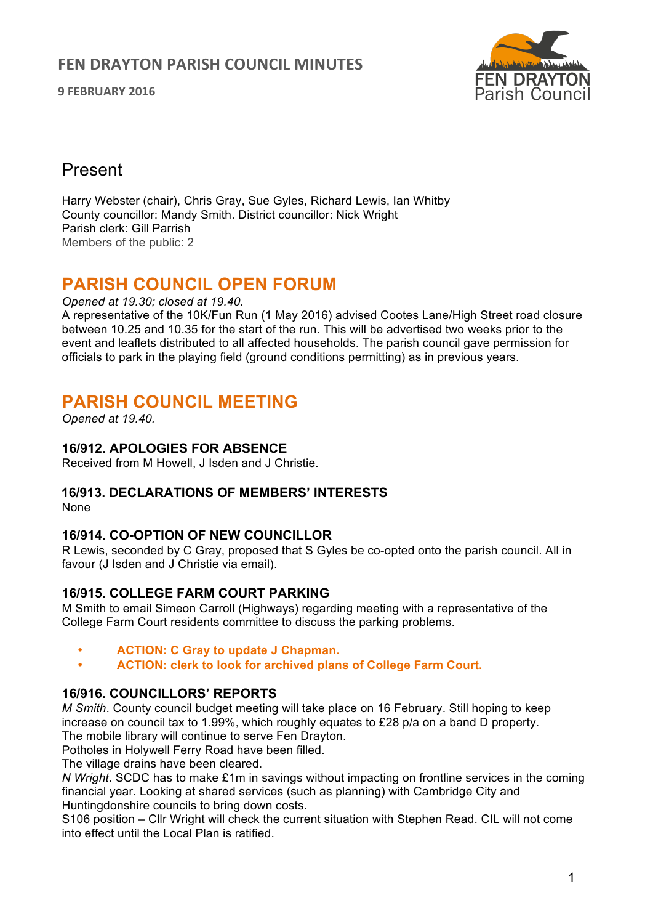**9 FEBRUARY 2016**



## Present

Harry Webster (chair), Chris Gray, Sue Gyles, Richard Lewis, Ian Whitby County councillor: Mandy Smith. District councillor: Nick Wright Parish clerk: Gill Parrish Members of the public: 2

# **PARISH COUNCIL OPEN FORUM**

#### *Opened at 19.30; closed at 19.40.*

A representative of the 10K/Fun Run (1 May 2016) advised Cootes Lane/High Street road closure between 10.25 and 10.35 for the start of the run. This will be advertised two weeks prior to the event and leaflets distributed to all affected households. The parish council gave permission for officials to park in the playing field (ground conditions permitting) as in previous years.

# **PARISH COUNCIL MEETING**

*Opened at 19.40.* 

## **16/912. APOLOGIES FOR ABSENCE**

Received from M Howell, J Isden and J Christie.

## **16/913. DECLARATIONS OF MEMBERS' INTERESTS**

None

## **16/914. CO-OPTION OF NEW COUNCILLOR**

R Lewis, seconded by C Gray, proposed that S Gyles be co-opted onto the parish council. All in favour (J Isden and J Christie via email).

## **16/915. COLLEGE FARM COURT PARKING**

M Smith to email Simeon Carroll (Highways) regarding meeting with a representative of the College Farm Court residents committee to discuss the parking problems.

- **ACTION: C Gray to update J Chapman.**
- **ACTION: clerk to look for archived plans of College Farm Court.**

## **16/916. COUNCILLORS' REPORTS**

*M Smith*. County council budget meeting will take place on 16 February. Still hoping to keep increase on council tax to 1.99%, which roughly equates to £28 p/a on a band D property. The mobile library will continue to serve Fen Drayton.

Potholes in Holywell Ferry Road have been filled.

The village drains have been cleared.

*N Wright*. SCDC has to make £1m in savings without impacting on frontline services in the coming financial year. Looking at shared services (such as planning) with Cambridge City and Huntingdonshire councils to bring down costs.

S106 position – Cllr Wright will check the current situation with Stephen Read. CIL will not come into effect until the Local Plan is ratified.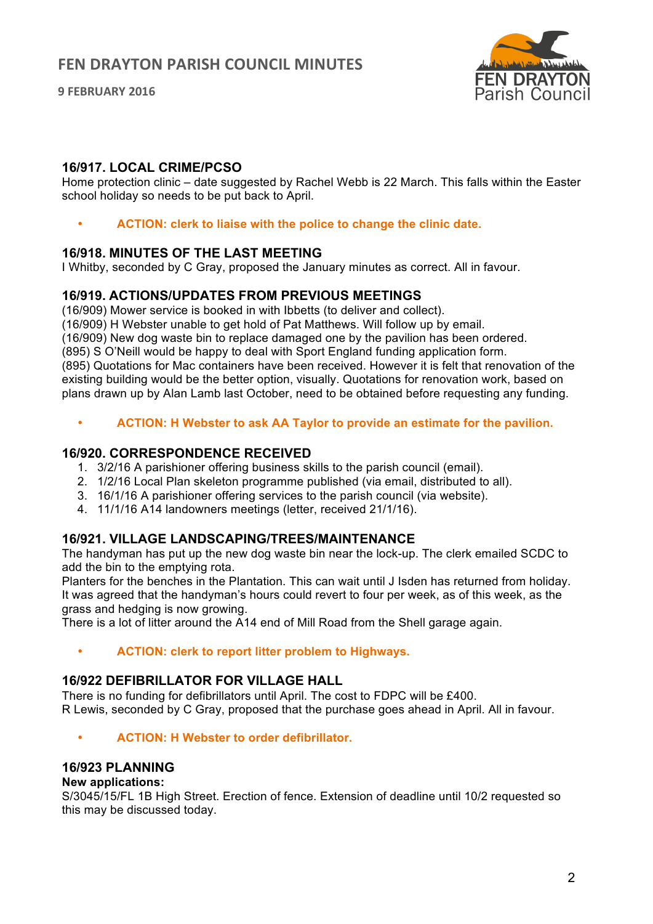**9 FEBRUARY 2016**



## **16/917. LOCAL CRIME/PCSO**

Home protection clinic – date suggested by Rachel Webb is 22 March. This falls within the Easter school holiday so needs to be put back to April.

• **ACTION: clerk to liaise with the police to change the clinic date.**

## **16/918. MINUTES OF THE LAST MEETING**

I Whitby, seconded by C Gray, proposed the January minutes as correct. All in favour.

## **16/919. ACTIONS/UPDATES FROM PREVIOUS MEETINGS**

(16/909) Mower service is booked in with Ibbetts (to deliver and collect).

(16/909) H Webster unable to get hold of Pat Matthews. Will follow up by email.

(16/909) New dog waste bin to replace damaged one by the pavilion has been ordered.

(895) S O'Neill would be happy to deal with Sport England funding application form.

(895) Quotations for Mac containers have been received. However it is felt that renovation of the existing building would be the better option, visually. Quotations for renovation work, based on plans drawn up by Alan Lamb last October, need to be obtained before requesting any funding.

#### • **ACTION: H Webster to ask AA Taylor to provide an estimate for the pavilion.**

#### **16/920. CORRESPONDENCE RECEIVED**

- 1. 3/2/16 A parishioner offering business skills to the parish council (email).
- 2. 1/2/16 Local Plan skeleton programme published (via email, distributed to all).
- 3. 16/1/16 A parishioner offering services to the parish council (via website).
- 4. 11/1/16 A14 landowners meetings (letter, received 21/1/16).

## **16/921. VILLAGE LANDSCAPING/TREES/MAINTENANCE**

The handyman has put up the new dog waste bin near the lock-up. The clerk emailed SCDC to add the bin to the emptying rota.

Planters for the benches in the Plantation. This can wait until J Isden has returned from holiday. It was agreed that the handyman's hours could revert to four per week, as of this week, as the grass and hedging is now growing.

There is a lot of litter around the A14 end of Mill Road from the Shell garage again.

• **ACTION: clerk to report litter problem to Highways.**

## **16/922 DEFIBRILLATOR FOR VILLAGE HALL**

There is no funding for defibrillators until April. The cost to FDPC will be £400. R Lewis, seconded by C Gray, proposed that the purchase goes ahead in April. All in favour.

• **ACTION: H Webster to order defibrillator.**

## **16/923 PLANNING**

#### **New applications:**

S/3045/15/FL 1B High Street. Erection of fence. Extension of deadline until 10/2 requested so this may be discussed today.